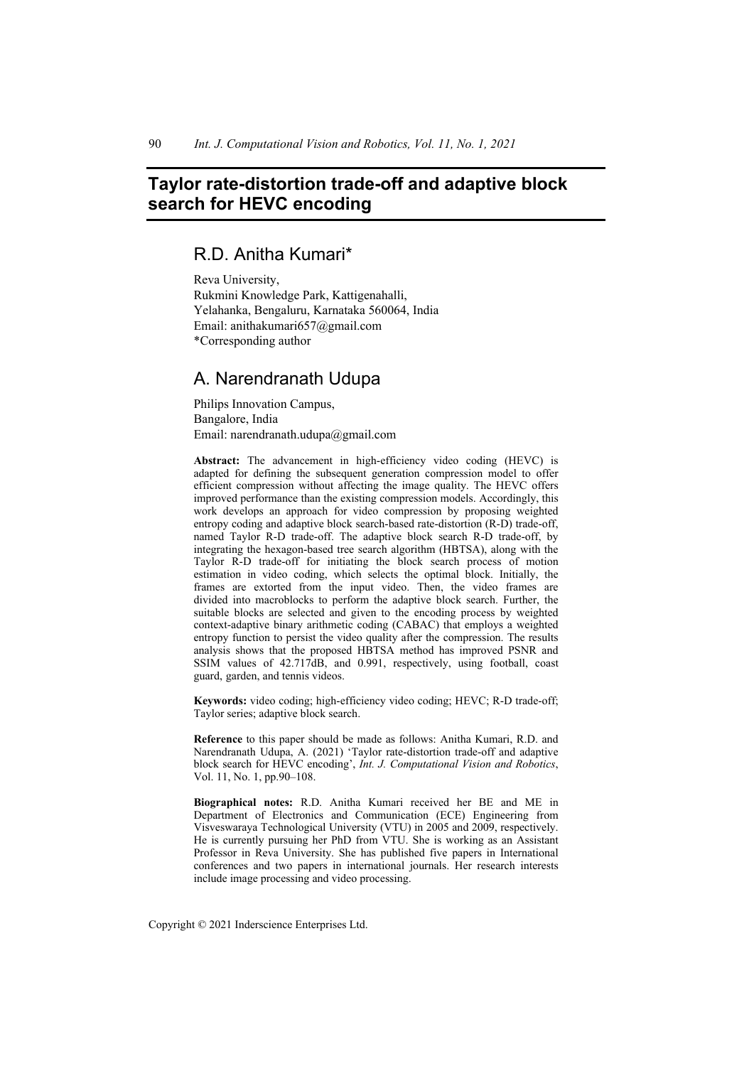# **Taylor rate-distortion trade-off and adaptive block search for HEVC encoding**

# R.D. Anitha Kumari\*

Reva University, Rukmini Knowledge Park, Kattigenahalli, Yelahanka, Bengaluru, Karnataka 560064, India Email: anithakumari657@gmail.com \*Corresponding author

# A. Narendranath Udupa

Philips Innovation Campus, Bangalore, India Email: narendranath.udupa@gmail.com

**Abstract:** The advancement in high-efficiency video coding (HEVC) is adapted for defining the subsequent generation compression model to offer efficient compression without affecting the image quality. The HEVC offers improved performance than the existing compression models. Accordingly, this work develops an approach for video compression by proposing weighted entropy coding and adaptive block search-based rate-distortion (R-D) trade-off, named Taylor R-D trade-off. The adaptive block search R-D trade-off, by integrating the hexagon-based tree search algorithm (HBTSA), along with the Taylor R-D trade-off for initiating the block search process of motion estimation in video coding, which selects the optimal block. Initially, the frames are extorted from the input video. Then, the video frames are divided into macroblocks to perform the adaptive block search. Further, the suitable blocks are selected and given to the encoding process by weighted context-adaptive binary arithmetic coding (CABAC) that employs a weighted entropy function to persist the video quality after the compression. The results analysis shows that the proposed HBTSA method has improved PSNR and SSIM values of 42.717dB, and 0.991, respectively, using football, coast guard, garden, and tennis videos.

**Keywords:** video coding; high-efficiency video coding; HEVC; R-D trade-off; Taylor series; adaptive block search.

**Reference** to this paper should be made as follows: Anitha Kumari, R.D. and Narendranath Udupa, A. (2021) 'Taylor rate-distortion trade-off and adaptive block search for HEVC encoding', *Int. J. Computational Vision and Robotics*, Vol. 11, No. 1, pp.90–108.

**Biographical notes:** R.D. Anitha Kumari received her BE and ME in Department of Electronics and Communication (ECE) Engineering from Visveswaraya Technological University (VTU) in 2005 and 2009, respectively. He is currently pursuing her PhD from VTU. She is working as an Assistant Professor in Reva University. She has published five papers in International conferences and two papers in international journals. Her research interests include image processing and video processing.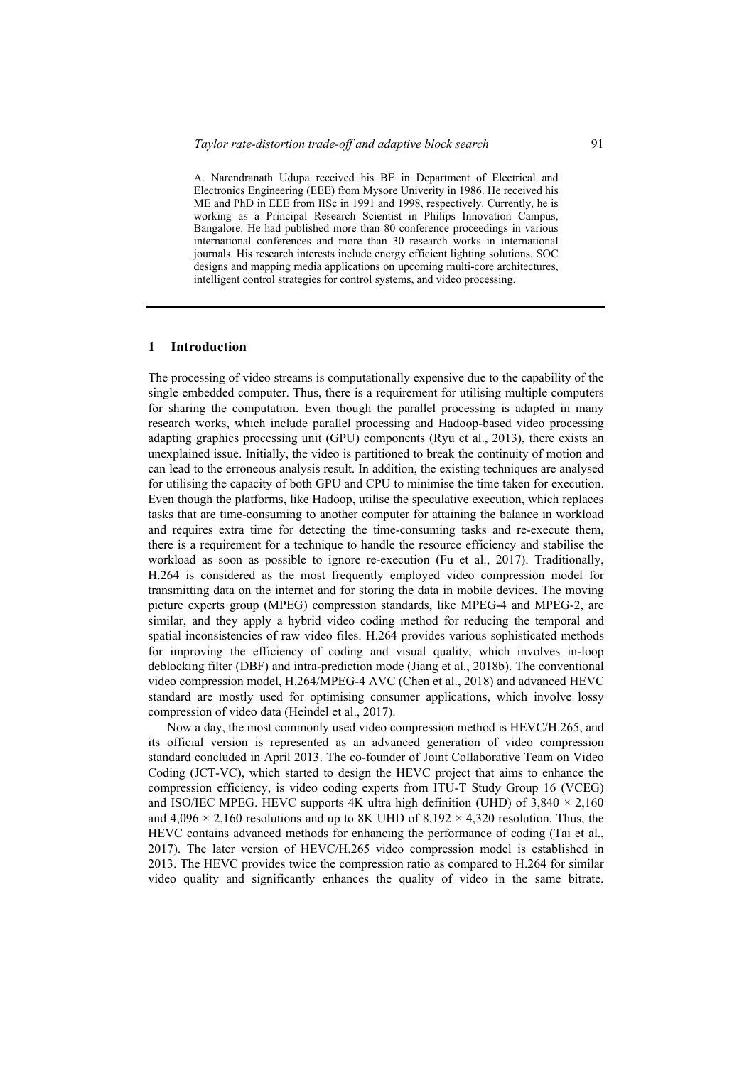A. Narendranath Udupa received his BE in Department of Electrical and Electronics Engineering (EEE) from Mysore Univerity in 1986. He received his ME and PhD in EEE from IISc in 1991 and 1998, respectively. Currently, he is working as a Principal Research Scientist in Philips Innovation Campus, Bangalore. He had published more than 80 conference proceedings in various international conferences and more than 30 research works in international journals. His research interests include energy efficient lighting solutions, SOC designs and mapping media applications on upcoming multi-core architectures, intelligent control strategies for control systems, and video processing.

### **1 Introduction**

The processing of video streams is computationally expensive due to the capability of the single embedded computer. Thus, there is a requirement for utilising multiple computers for sharing the computation. Even though the parallel processing is adapted in many research works, which include parallel processing and Hadoop-based video processing adapting graphics processing unit (GPU) components (Ryu et al., 2013), there exists an unexplained issue. Initially, the video is partitioned to break the continuity of motion and can lead to the erroneous analysis result. In addition, the existing techniques are analysed for utilising the capacity of both GPU and CPU to minimise the time taken for execution. Even though the platforms, like Hadoop, utilise the speculative execution, which replaces tasks that are time-consuming to another computer for attaining the balance in workload and requires extra time for detecting the time-consuming tasks and re-execute them, there is a requirement for a technique to handle the resource efficiency and stabilise the workload as soon as possible to ignore re-execution (Fu et al., 2017). Traditionally, H.264 is considered as the most frequently employed video compression model for transmitting data on the internet and for storing the data in mobile devices. The moving picture experts group (MPEG) compression standards, like MPEG-4 and MPEG-2, are similar, and they apply a hybrid video coding method for reducing the temporal and spatial inconsistencies of raw video files. H.264 provides various sophisticated methods for improving the efficiency of coding and visual quality, which involves in-loop deblocking filter (DBF) and intra-prediction mode (Jiang et al., 2018b). The conventional video compression model, H.264/MPEG-4 AVC (Chen et al., 2018) and advanced HEVC standard are mostly used for optimising consumer applications, which involve lossy compression of video data (Heindel et al., 2017).

Now a day, the most commonly used video compression method is HEVC/H.265, and its official version is represented as an advanced generation of video compression standard concluded in April 2013. The co-founder of Joint Collaborative Team on Video Coding (JCT-VC), which started to design the HEVC project that aims to enhance the compression efficiency, is video coding experts from ITU-T Study Group 16 (VCEG) and ISO/IEC MPEG. HEVC supports 4K ultra high definition (UHD) of  $3,840 \times 2,160$ and 4,096  $\times$  2,160 resolutions and up to 8K UHD of 8,192  $\times$  4,320 resolution. Thus, the HEVC contains advanced methods for enhancing the performance of coding (Tai et al., 2017). The later version of HEVC/H.265 video compression model is established in 2013. The HEVC provides twice the compression ratio as compared to H.264 for similar video quality and significantly enhances the quality of video in the same bitrate.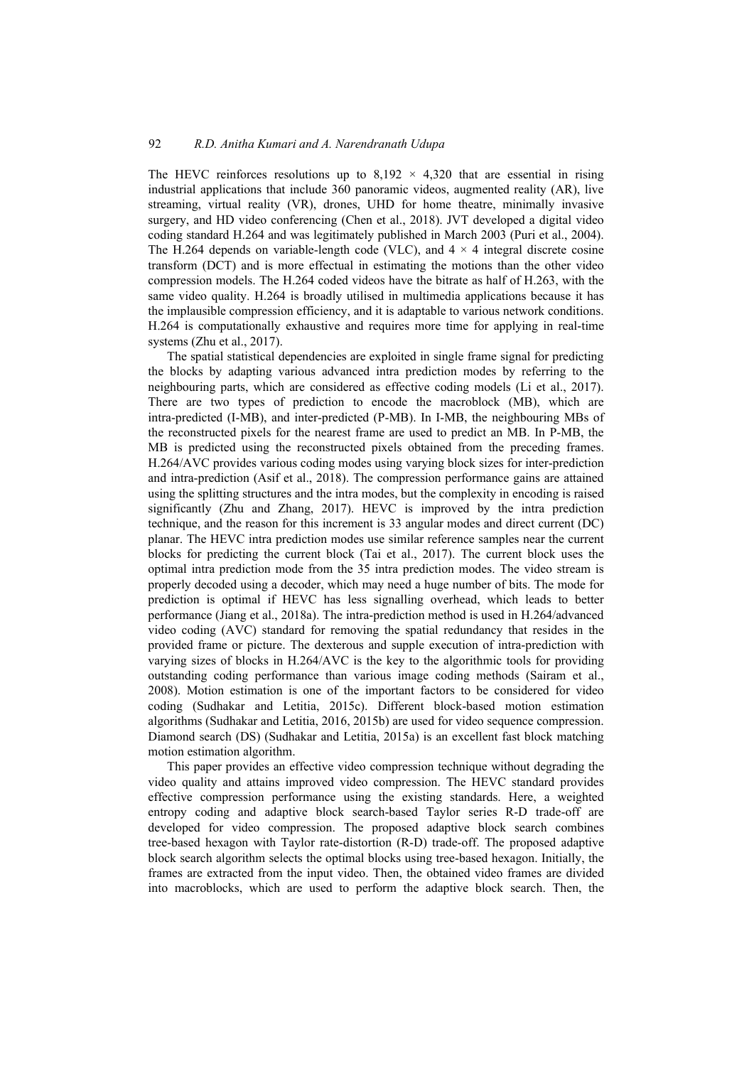The HEVC reinforces resolutions up to  $8,192 \times 4,320$  that are essential in rising industrial applications that include 360 panoramic videos, augmented reality (AR), live streaming, virtual reality (VR), drones, UHD for home theatre, minimally invasive surgery, and HD video conferencing (Chen et al., 2018). JVT developed a digital video coding standard H.264 and was legitimately published in March 2003 (Puri et al., 2004). The H.264 depends on variable-length code (VLC), and  $4 \times 4$  integral discrete cosine transform (DCT) and is more effectual in estimating the motions than the other video compression models. The H.264 coded videos have the bitrate as half of H.263, with the same video quality. H.264 is broadly utilised in multimedia applications because it has the implausible compression efficiency, and it is adaptable to various network conditions. H.264 is computationally exhaustive and requires more time for applying in real-time systems (Zhu et al., 2017).

The spatial statistical dependencies are exploited in single frame signal for predicting the blocks by adapting various advanced intra prediction modes by referring to the neighbouring parts, which are considered as effective coding models (Li et al., 2017). There are two types of prediction to encode the macroblock (MB), which are intra-predicted (I-MB), and inter-predicted (P-MB). In I-MB, the neighbouring MBs of the reconstructed pixels for the nearest frame are used to predict an MB. In P-MB, the MB is predicted using the reconstructed pixels obtained from the preceding frames. H.264/AVC provides various coding modes using varying block sizes for inter-prediction and intra-prediction (Asif et al., 2018). The compression performance gains are attained using the splitting structures and the intra modes, but the complexity in encoding is raised significantly (Zhu and Zhang, 2017). HEVC is improved by the intra prediction technique, and the reason for this increment is 33 angular modes and direct current (DC) planar. The HEVC intra prediction modes use similar reference samples near the current blocks for predicting the current block (Tai et al., 2017). The current block uses the optimal intra prediction mode from the 35 intra prediction modes. The video stream is properly decoded using a decoder, which may need a huge number of bits. The mode for prediction is optimal if HEVC has less signalling overhead, which leads to better performance (Jiang et al., 2018a). The intra-prediction method is used in H.264/advanced video coding (AVC) standard for removing the spatial redundancy that resides in the provided frame or picture. The dexterous and supple execution of intra-prediction with varying sizes of blocks in H.264/AVC is the key to the algorithmic tools for providing outstanding coding performance than various image coding methods (Sairam et al., 2008). Motion estimation is one of the important factors to be considered for video coding (Sudhakar and Letitia, 2015c). Different block-based motion estimation algorithms (Sudhakar and Letitia, 2016, 2015b) are used for video sequence compression. Diamond search (DS) (Sudhakar and Letitia, 2015a) is an excellent fast block matching motion estimation algorithm.

This paper provides an effective video compression technique without degrading the video quality and attains improved video compression. The HEVC standard provides effective compression performance using the existing standards. Here, a weighted entropy coding and adaptive block search-based Taylor series R-D trade-off are developed for video compression. The proposed adaptive block search combines tree-based hexagon with Taylor rate-distortion (R-D) trade-off. The proposed adaptive block search algorithm selects the optimal blocks using tree-based hexagon. Initially, the frames are extracted from the input video. Then, the obtained video frames are divided into macroblocks, which are used to perform the adaptive block search. Then, the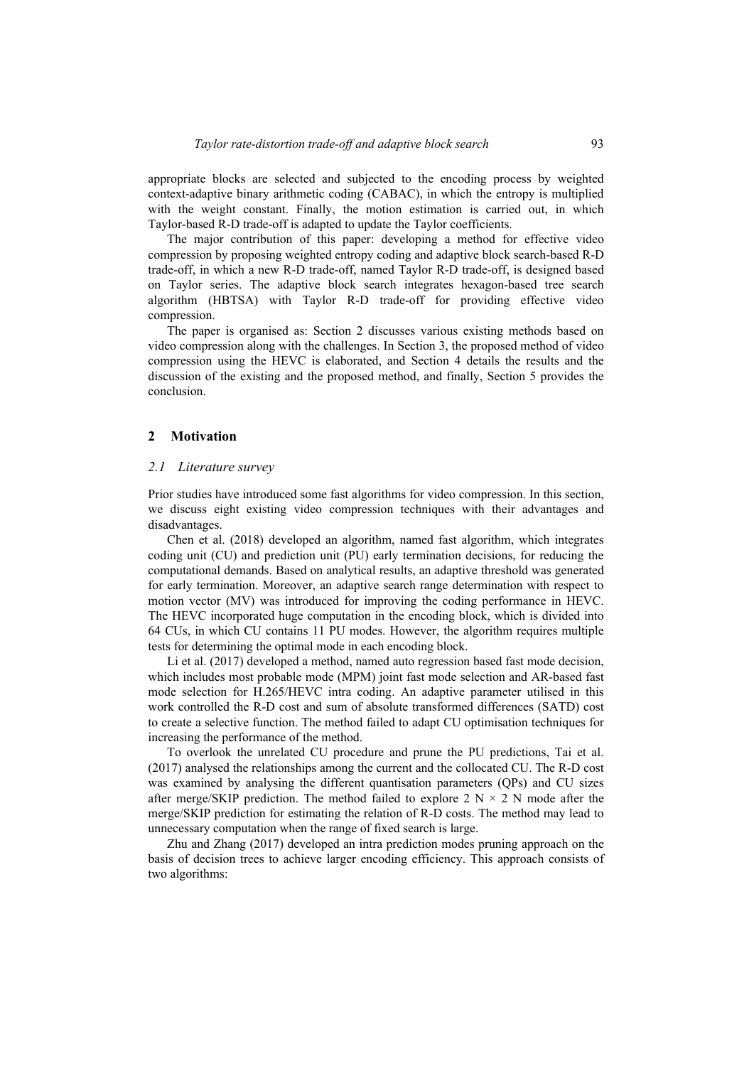appropriate blocks are selected and subjected to the encoding process by weighted context-adaptive binary arithmetic coding (CABAC), in which the entropy is multiplied with the weight constant. Finally, the motion estimation is carried out, in which Taylor-based R-D trade-off is adapted to update the Taylor coefficients.

The major contribution of this paper: developing a method for effective video compression by proposing weighted entropy coding and adaptive block search-based R-D trade-off, in which a new R-D trade-off, named Taylor R-D trade-off, is designed based on Taylor series. The adaptive block search integrates hexagon-based tree search algorithm (HBTSA) with Taylor R-D trade-off for providing effective video compression.

The paper is organised as: Section 2 discusses various existing methods based on video compression along with the challenges. In Section 3, the proposed method of video compression using the HEVC is elaborated, and Section 4 details the results and the discussion of the existing and the proposed method, and finally, Section 5 provides the conclusion.

#### **2 Motivation**

#### *2.1 Literature survey*

Prior studies have introduced some fast algorithms for video compression. In this section, we discuss eight existing video compression techniques with their advantages and disadvantages.

Chen et al. (2018) developed an algorithm, named fast algorithm, which integrates coding unit (CU) and prediction unit (PU) early termination decisions, for reducing the computational demands. Based on analytical results, an adaptive threshold was generated for early termination. Moreover, an adaptive search range determination with respect to motion vector (MV) was introduced for improving the coding performance in HEVC. The HEVC incorporated huge computation in the encoding block, which is divided into 64 CUs, in which CU contains 11 PU modes. However, the algorithm requires multiple tests for determining the optimal mode in each encoding block.

Li et al. (2017) developed a method, named auto regression based fast mode decision, which includes most probable mode (MPM) joint fast mode selection and AR-based fast mode selection for H.265/HEVC intra coding. An adaptive parameter utilised in this work controlled the R-D cost and sum of absolute transformed differences (SATD) cost to create a selective function. The method failed to adapt CU optimisation techniques for increasing the performance of the method.

To overlook the unrelated CU procedure and prune the PU predictions, Tai et al. (2017) analysed the relationships among the current and the collocated CU. The R-D cost was examined by analysing the different quantisation parameters (QPs) and CU sizes after merge/SKIP prediction. The method failed to explore 2  $N \times 2 N$  mode after the merge/SKIP prediction for estimating the relation of R-D costs. The method may lead to unnecessary computation when the range of fixed search is large.

Zhu and Zhang (2017) developed an intra prediction modes pruning approach on the basis of decision trees to achieve larger encoding efficiency. This approach consists of two algorithms: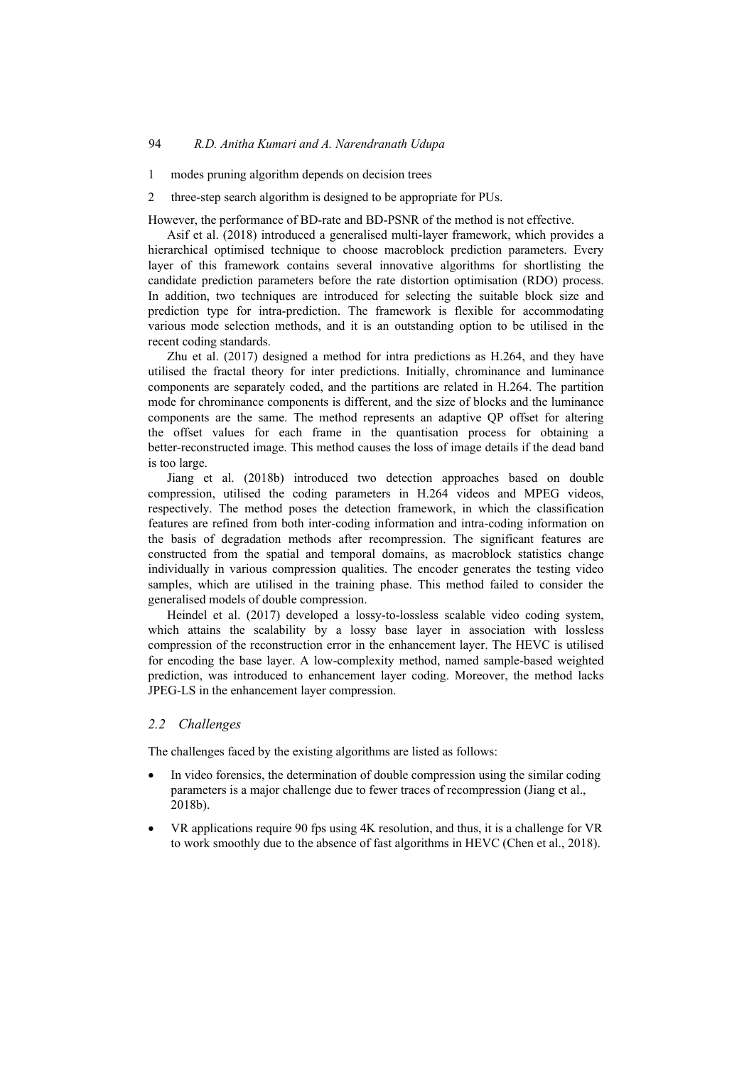- 1 modes pruning algorithm depends on decision trees
- 2 three-step search algorithm is designed to be appropriate for PUs.

However, the performance of BD-rate and BD-PSNR of the method is not effective.

Asif et al. (2018) introduced a generalised multi-layer framework, which provides a hierarchical optimised technique to choose macroblock prediction parameters. Every layer of this framework contains several innovative algorithms for shortlisting the candidate prediction parameters before the rate distortion optimisation (RDO) process. In addition, two techniques are introduced for selecting the suitable block size and prediction type for intra-prediction. The framework is flexible for accommodating various mode selection methods, and it is an outstanding option to be utilised in the recent coding standards.

Zhu et al. (2017) designed a method for intra predictions as H.264, and they have utilised the fractal theory for inter predictions. Initially, chrominance and luminance components are separately coded, and the partitions are related in H.264. The partition mode for chrominance components is different, and the size of blocks and the luminance components are the same. The method represents an adaptive QP offset for altering the offset values for each frame in the quantisation process for obtaining a better-reconstructed image. This method causes the loss of image details if the dead band is too large.

Jiang et al. (2018b) introduced two detection approaches based on double compression, utilised the coding parameters in H.264 videos and MPEG videos, respectively. The method poses the detection framework, in which the classification features are refined from both inter-coding information and intra-coding information on the basis of degradation methods after recompression. The significant features are constructed from the spatial and temporal domains, as macroblock statistics change individually in various compression qualities. The encoder generates the testing video samples, which are utilised in the training phase. This method failed to consider the generalised models of double compression.

Heindel et al. (2017) developed a lossy-to-lossless scalable video coding system, which attains the scalability by a lossy base layer in association with lossless compression of the reconstruction error in the enhancement layer. The HEVC is utilised for encoding the base layer. A low-complexity method, named sample-based weighted prediction, was introduced to enhancement layer coding. Moreover, the method lacks JPEG-LS in the enhancement layer compression.

#### *2.2 Challenges*

The challenges faced by the existing algorithms are listed as follows:

- In video forensics, the determination of double compression using the similar coding parameters is a major challenge due to fewer traces of recompression (Jiang et al., 2018b).
- VR applications require 90 fps using 4K resolution, and thus, it is a challenge for VR to work smoothly due to the absence of fast algorithms in HEVC (Chen et al., 2018).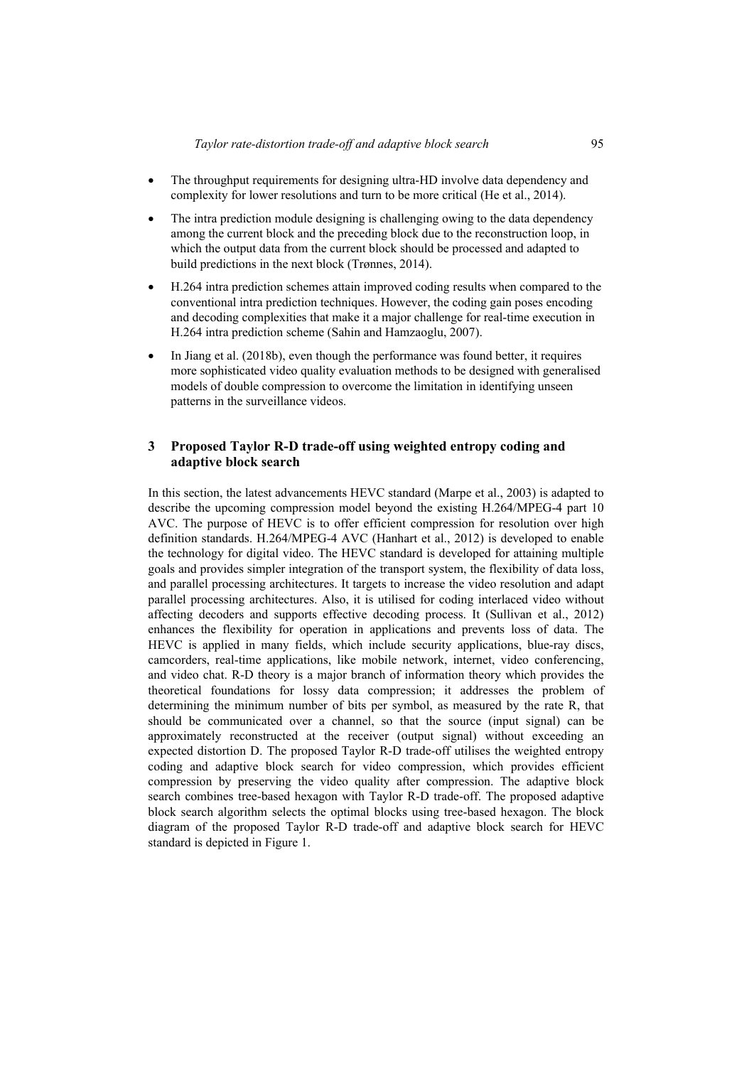- The throughput requirements for designing ultra-HD involve data dependency and complexity for lower resolutions and turn to be more critical (He et al., 2014).
- The intra prediction module designing is challenging owing to the data dependency among the current block and the preceding block due to the reconstruction loop, in which the output data from the current block should be processed and adapted to build predictions in the next block (Trønnes, 2014).
- H.264 intra prediction schemes attain improved coding results when compared to the conventional intra prediction techniques. However, the coding gain poses encoding and decoding complexities that make it a major challenge for real-time execution in H.264 intra prediction scheme (Sahin and Hamzaoglu, 2007).
- In Jiang et al. (2018b), even though the performance was found better, it requires more sophisticated video quality evaluation methods to be designed with generalised models of double compression to overcome the limitation in identifying unseen patterns in the surveillance videos.

#### **3 Proposed Taylor R-D trade-off using weighted entropy coding and adaptive block search**

In this section, the latest advancements HEVC standard (Marpe et al., 2003) is adapted to describe the upcoming compression model beyond the existing H.264/MPEG-4 part 10 AVC. The purpose of HEVC is to offer efficient compression for resolution over high definition standards. H.264/MPEG-4 AVC (Hanhart et al., 2012) is developed to enable the technology for digital video. The HEVC standard is developed for attaining multiple goals and provides simpler integration of the transport system, the flexibility of data loss, and parallel processing architectures. It targets to increase the video resolution and adapt parallel processing architectures. Also, it is utilised for coding interlaced video without affecting decoders and supports effective decoding process. It (Sullivan et al., 2012) enhances the flexibility for operation in applications and prevents loss of data. The HEVC is applied in many fields, which include security applications, blue-ray discs, camcorders, real-time applications, like mobile network, internet, video conferencing, and video chat. R-D theory is a major branch of information theory which provides the theoretical foundations for lossy data compression; it addresses the problem of determining the minimum number of bits per symbol, as measured by the rate R, that should be communicated over a channel, so that the source (input signal) can be approximately reconstructed at the receiver (output signal) without exceeding an expected distortion D. The proposed Taylor R-D trade-off utilises the weighted entropy coding and adaptive block search for video compression, which provides efficient compression by preserving the video quality after compression. The adaptive block search combines tree-based hexagon with Taylor R-D trade-off. The proposed adaptive block search algorithm selects the optimal blocks using tree-based hexagon. The block diagram of the proposed Taylor R-D trade-off and adaptive block search for HEVC standard is depicted in Figure 1.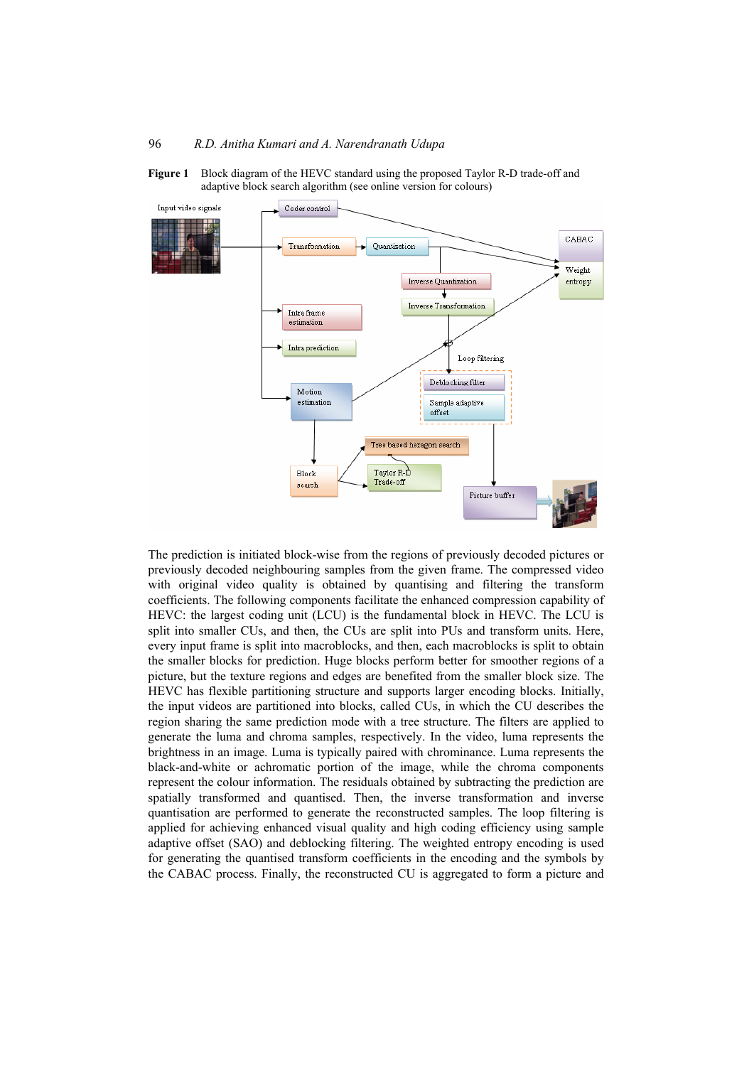



The prediction is initiated block-wise from the regions of previously decoded pictures or previously decoded neighbouring samples from the given frame. The compressed video with original video quality is obtained by quantising and filtering the transform coefficients. The following components facilitate the enhanced compression capability of HEVC: the largest coding unit (LCU) is the fundamental block in HEVC. The LCU is split into smaller CUs, and then, the CUs are split into PUs and transform units. Here, every input frame is split into macroblocks, and then, each macroblocks is split to obtain the smaller blocks for prediction. Huge blocks perform better for smoother regions of a picture, but the texture regions and edges are benefited from the smaller block size. The HEVC has flexible partitioning structure and supports larger encoding blocks. Initially, the input videos are partitioned into blocks, called CUs, in which the CU describes the region sharing the same prediction mode with a tree structure. The filters are applied to generate the luma and chroma samples, respectively. In the video, luma represents the brightness in an image. Luma is typically paired with chrominance. Luma represents the black-and-white or achromatic portion of the image, while the chroma components represent the colour information. The residuals obtained by subtracting the prediction are spatially transformed and quantised. Then, the inverse transformation and inverse quantisation are performed to generate the reconstructed samples. The loop filtering is applied for achieving enhanced visual quality and high coding efficiency using sample adaptive offset (SAO) and deblocking filtering. The weighted entropy encoding is used for generating the quantised transform coefficients in the encoding and the symbols by the CABAC process. Finally, the reconstructed CU is aggregated to form a picture and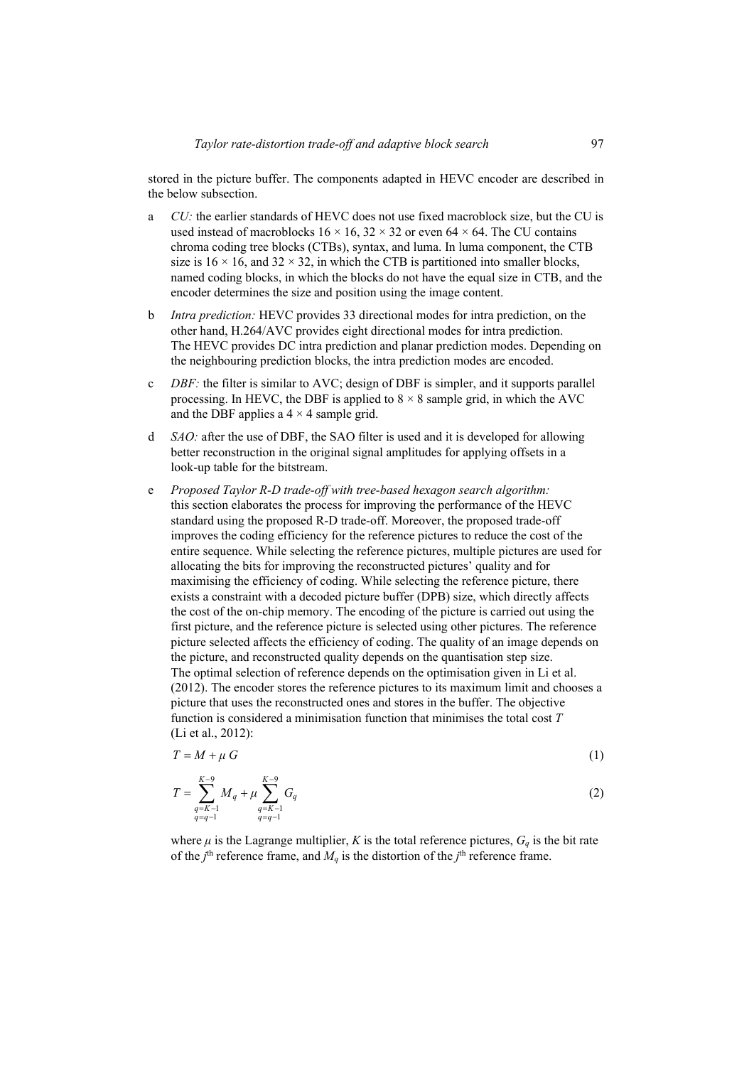stored in the picture buffer. The components adapted in HEVC encoder are described in the below subsection.

- a *CU:* the earlier standards of HEVC does not use fixed macroblock size, but the CU is used instead of macroblocks  $16 \times 16$ ,  $32 \times 32$  or even  $64 \times 64$ . The CU contains chroma coding tree blocks (CTBs), syntax, and luma. In luma component, the CTB size is  $16 \times 16$ , and  $32 \times 32$ , in which the CTB is partitioned into smaller blocks, named coding blocks, in which the blocks do not have the equal size in CTB, and the encoder determines the size and position using the image content.
- b *Intra prediction:* HEVC provides 33 directional modes for intra prediction, on the other hand, H.264/AVC provides eight directional modes for intra prediction. The HEVC provides DC intra prediction and planar prediction modes. Depending on the neighbouring prediction blocks, the intra prediction modes are encoded.
- c *DBF:* the filter is similar to AVC; design of DBF is simpler, and it supports parallel processing. In HEVC, the DBF is applied to  $8 \times 8$  sample grid, in which the AVC and the DBF applies a  $4 \times 4$  sample grid.
- d *SAO:* after the use of DBF, the SAO filter is used and it is developed for allowing better reconstruction in the original signal amplitudes for applying offsets in a look-up table for the bitstream.
- e *Proposed Taylor R-D trade-off with tree-based hexagon search algorithm:* this section elaborates the process for improving the performance of the HEVC standard using the proposed R-D trade-off. Moreover, the proposed trade-off improves the coding efficiency for the reference pictures to reduce the cost of the entire sequence. While selecting the reference pictures, multiple pictures are used for allocating the bits for improving the reconstructed pictures' quality and for maximising the efficiency of coding. While selecting the reference picture, there exists a constraint with a decoded picture buffer (DPB) size, which directly affects the cost of the on-chip memory. The encoding of the picture is carried out using the first picture, and the reference picture is selected using other pictures. The reference picture selected affects the efficiency of coding. The quality of an image depends on the picture, and reconstructed quality depends on the quantisation step size. The optimal selection of reference depends on the optimisation given in Li et al. (2012). The encoder stores the reference pictures to its maximum limit and chooses a picture that uses the reconstructed ones and stores in the buffer. The objective function is considered a minimisation function that minimises the total cost *T* (Li et al., 2012):

$$
T = M + \mu G \tag{1}
$$

$$
T = \sum_{\substack{q=K-1\\q=q-1}}^{K-9} M_q + \mu \sum_{\substack{q=K-1\\q=q-1}}^{K-9} G_q
$$
 (2)

where  $\mu$  is the Lagrange multiplier, *K* is the total reference pictures,  $G_q$  is the bit rate of the  $j^{\text{th}}$  reference frame, and  $M_q$  is the distortion of the  $j^{\text{th}}$  reference frame.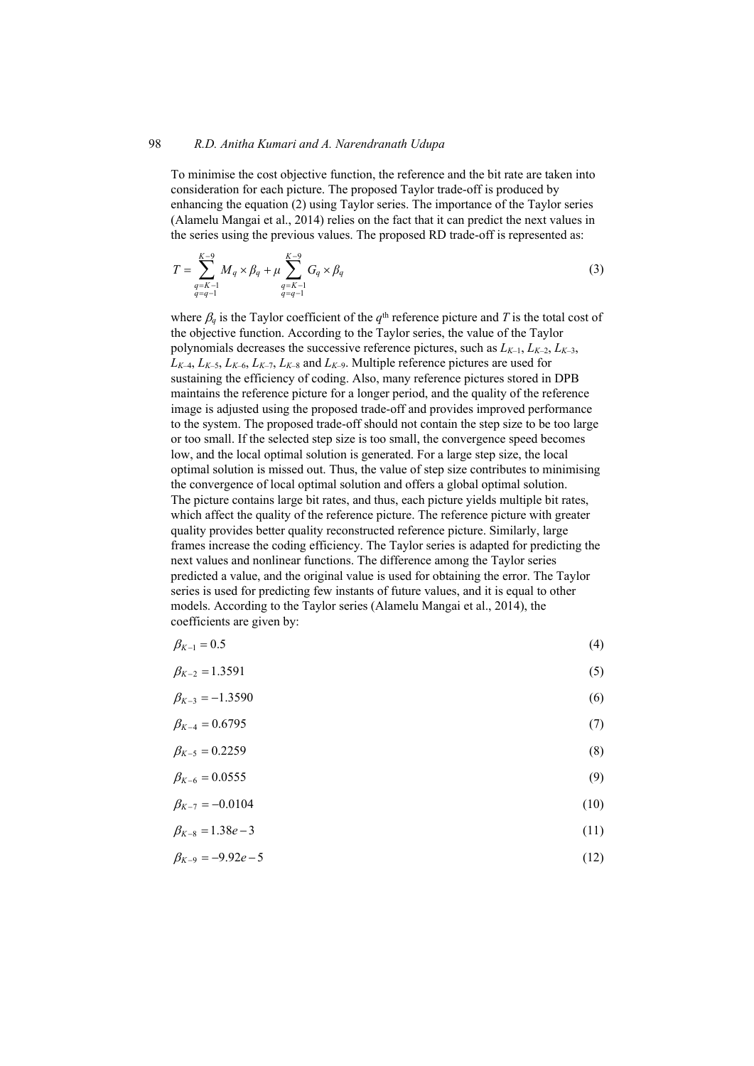#### 98 *R.D. Anitha Kumari and A. Narendranath Udupa*

To minimise the cost objective function, the reference and the bit rate are taken into consideration for each picture. The proposed Taylor trade-off is produced by enhancing the equation (2) using Taylor series. The importance of the Taylor series (Alamelu Mangai et al., 2014) relies on the fact that it can predict the next values in the series using the previous values. The proposed RD trade-off is represented as:

$$
T = \sum_{\substack{q=K-1\\q=q-1}}^{K-9} M_q \times \beta_q + \mu \sum_{\substack{q=K-1\\q=q-1}}^{K-9} G_q \times \beta_q \tag{3}
$$

where  $\beta_q$  is the Taylor coefficient of the  $q^{\text{th}}$  reference picture and T is the total cost of the objective function. According to the Taylor series, the value of the Taylor polynomials decreases the successive reference pictures, such as  $L_{K-1}$ ,  $L_{K-2}$ ,  $L_{K-3}$ ,  $L_{K-4}$ ,  $L_{K-5}$ ,  $L_{K-6}$ ,  $L_{K-7}$ ,  $L_{K-8}$  and  $L_{K-9}$ . Multiple reference pictures are used for sustaining the efficiency of coding. Also, many reference pictures stored in DPB maintains the reference picture for a longer period, and the quality of the reference image is adjusted using the proposed trade-off and provides improved performance to the system. The proposed trade-off should not contain the step size to be too large or too small. If the selected step size is too small, the convergence speed becomes low, and the local optimal solution is generated. For a large step size, the local optimal solution is missed out. Thus, the value of step size contributes to minimising the convergence of local optimal solution and offers a global optimal solution. The picture contains large bit rates, and thus, each picture yields multiple bit rates, which affect the quality of the reference picture. The reference picture with greater quality provides better quality reconstructed reference picture. Similarly, large frames increase the coding efficiency. The Taylor series is adapted for predicting the next values and nonlinear functions. The difference among the Taylor series predicted a value, and the original value is used for obtaining the error. The Taylor series is used for predicting few instants of future values, and it is equal to other models. According to the Taylor series (Alamelu Mangai et al., 2014), the coefficients are given by:

| $\beta_{K-1} = 0.5$    | (4) |
|------------------------|-----|
| $\beta_{K-2} = 1.3591$ | (5) |

$$
\beta_{K-3} = -1.3590\tag{6}
$$

$$
\beta_{K-4} = 0.6795\tag{7}
$$

$$
\beta_{K-5} = 0.2259 \tag{8}
$$

$$
\beta_{K-6} = 0.0555 \tag{9}
$$

$$
\beta_{K-7} = -0.0104\tag{10}
$$

$$
\beta_{K-8} = 1.38e-3 \tag{11}
$$

$$
\beta_{K-9} = -9.92e - 5\tag{12}
$$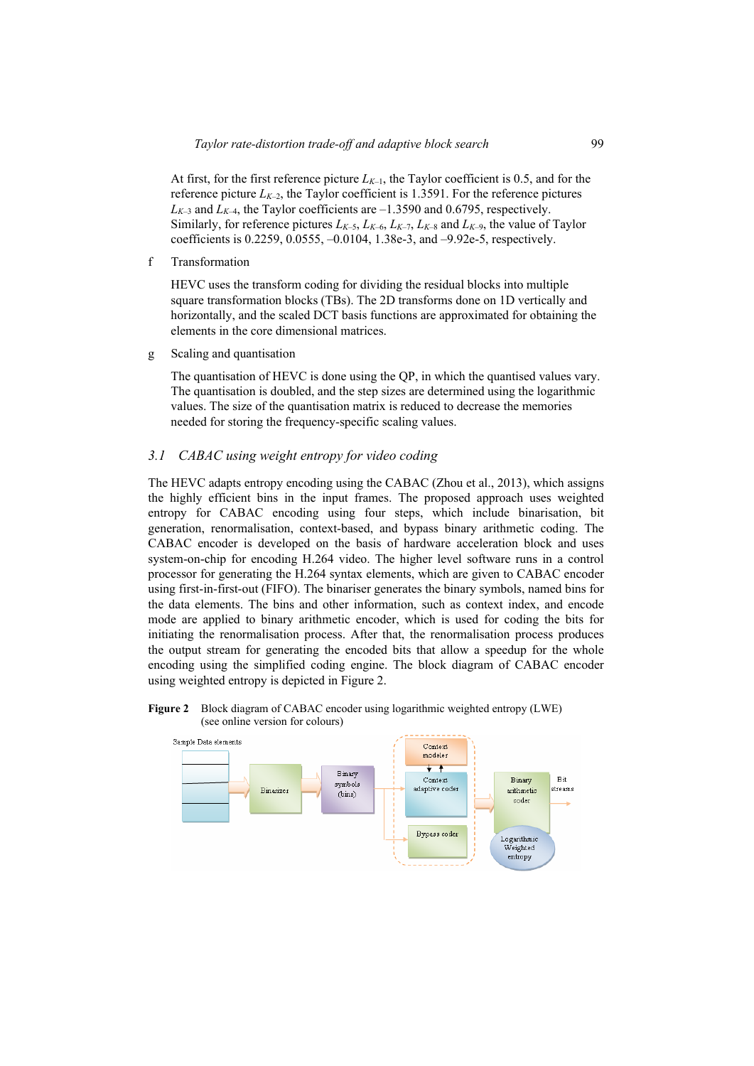At first, for the first reference picture  $L_{K-1}$ , the Taylor coefficient is 0.5, and for the reference picture  $L_{K-2}$ , the Taylor coefficient is 1.3591. For the reference pictures  $L_{K-3}$  and  $L_{K-4}$ , the Taylor coefficients are  $-1.3590$  and 0.6795, respectively. Similarly, for reference pictures  $L_{K-5}$ ,  $L_{K-6}$ ,  $L_{K-7}$ ,  $L_{K-8}$  and  $L_{K-9}$ , the value of Taylor coefficients is 0.2259, 0.0555, –0.0104, 1.38e-3, and –9.92e-5, respectively.

f Transformation

HEVC uses the transform coding for dividing the residual blocks into multiple square transformation blocks (TBs). The 2D transforms done on 1D vertically and horizontally, and the scaled DCT basis functions are approximated for obtaining the elements in the core dimensional matrices.

g Scaling and quantisation

The quantisation of HEVC is done using the QP, in which the quantised values vary. The quantisation is doubled, and the step sizes are determined using the logarithmic values. The size of the quantisation matrix is reduced to decrease the memories needed for storing the frequency-specific scaling values.

#### *3.1 CABAC using weight entropy for video coding*

The HEVC adapts entropy encoding using the CABAC (Zhou et al., 2013), which assigns the highly efficient bins in the input frames. The proposed approach uses weighted entropy for CABAC encoding using four steps, which include binarisation, bit generation, renormalisation, context-based, and bypass binary arithmetic coding. The CABAC encoder is developed on the basis of hardware acceleration block and uses system-on-chip for encoding H.264 video. The higher level software runs in a control processor for generating the H.264 syntax elements, which are given to CABAC encoder using first-in-first-out (FIFO). The binariser generates the binary symbols, named bins for the data elements. The bins and other information, such as context index, and encode mode are applied to binary arithmetic encoder, which is used for coding the bits for initiating the renormalisation process. After that, the renormalisation process produces the output stream for generating the encoded bits that allow a speedup for the whole encoding using the simplified coding engine. The block diagram of CABAC encoder using weighted entropy is depicted in Figure 2.

**Figure 2** Block diagram of CABAC encoder using logarithmic weighted entropy (LWE) (see online version for colours)

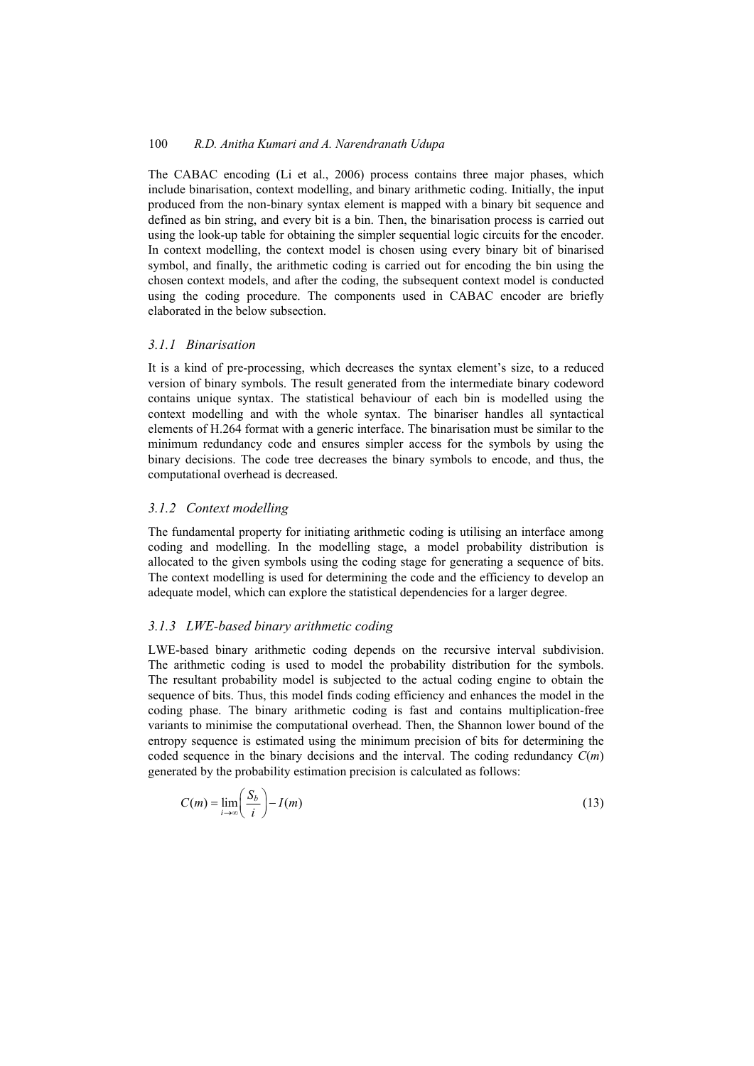The CABAC encoding (Li et al., 2006) process contains three major phases, which include binarisation, context modelling, and binary arithmetic coding. Initially, the input produced from the non-binary syntax element is mapped with a binary bit sequence and defined as bin string, and every bit is a bin. Then, the binarisation process is carried out using the look-up table for obtaining the simpler sequential logic circuits for the encoder. In context modelling, the context model is chosen using every binary bit of binarised symbol, and finally, the arithmetic coding is carried out for encoding the bin using the chosen context models, and after the coding, the subsequent context model is conducted using the coding procedure. The components used in CABAC encoder are briefly elaborated in the below subsection.

## *3.1.1 Binarisation*

It is a kind of pre-processing, which decreases the syntax element's size, to a reduced version of binary symbols. The result generated from the intermediate binary codeword contains unique syntax. The statistical behaviour of each bin is modelled using the context modelling and with the whole syntax. The binariser handles all syntactical elements of H.264 format with a generic interface. The binarisation must be similar to the minimum redundancy code and ensures simpler access for the symbols by using the binary decisions. The code tree decreases the binary symbols to encode, and thus, the computational overhead is decreased.

## *3.1.2 Context modelling*

The fundamental property for initiating arithmetic coding is utilising an interface among coding and modelling. In the modelling stage, a model probability distribution is allocated to the given symbols using the coding stage for generating a sequence of bits. The context modelling is used for determining the code and the efficiency to develop an adequate model, which can explore the statistical dependencies for a larger degree.

## *3.1.3 LWE-based binary arithmetic coding*

LWE-based binary arithmetic coding depends on the recursive interval subdivision. The arithmetic coding is used to model the probability distribution for the symbols. The resultant probability model is subjected to the actual coding engine to obtain the sequence of bits. Thus, this model finds coding efficiency and enhances the model in the coding phase. The binary arithmetic coding is fast and contains multiplication-free variants to minimise the computational overhead. Then, the Shannon lower bound of the entropy sequence is estimated using the minimum precision of bits for determining the coded sequence in the binary decisions and the interval. The coding redundancy *C*(*m*) generated by the probability estimation precision is calculated as follows:

$$
C(m) = \lim_{i \to \infty} \left( \frac{S_b}{i} \right) - I(m) \tag{13}
$$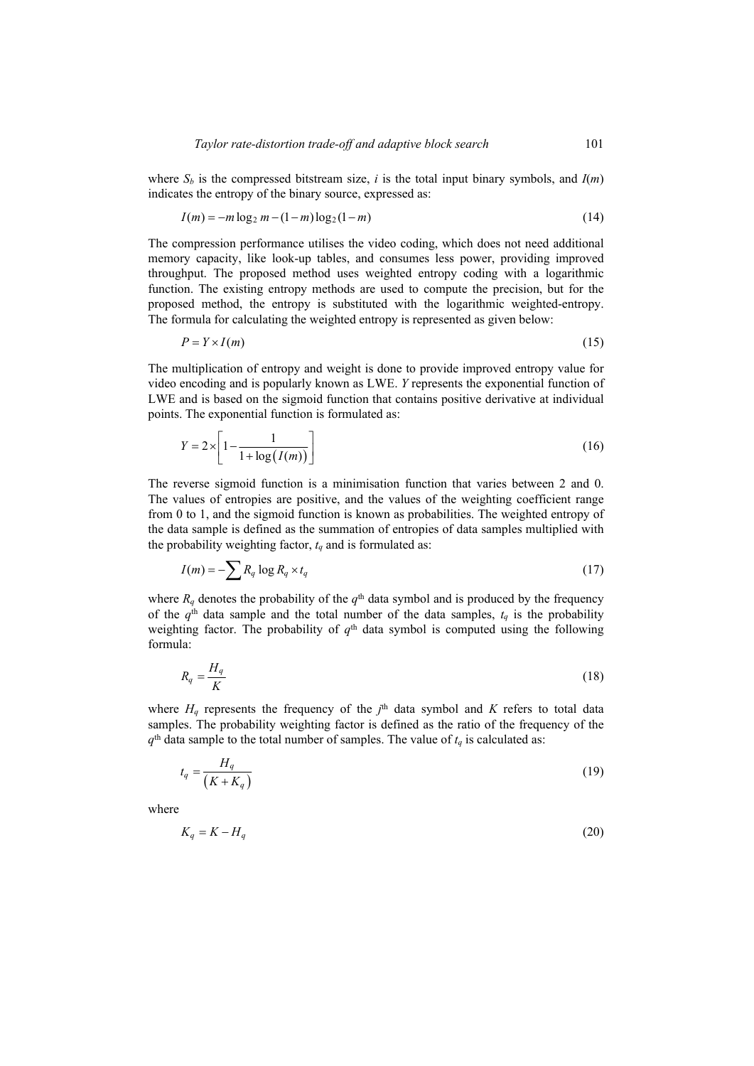where  $S_b$  is the compressed bitstream size, *i* is the total input binary symbols, and  $I(m)$ indicates the entropy of the binary source, expressed as:

$$
I(m) = -m \log_2 m - (1 - m) \log_2 (1 - m)
$$
\n(14)

The compression performance utilises the video coding, which does not need additional memory capacity, like look-up tables, and consumes less power, providing improved throughput. The proposed method uses weighted entropy coding with a logarithmic function. The existing entropy methods are used to compute the precision, but for the proposed method, the entropy is substituted with the logarithmic weighted-entropy. The formula for calculating the weighted entropy is represented as given below:

$$
P = Y \times I(m) \tag{15}
$$

The multiplication of entropy and weight is done to provide improved entropy value for video encoding and is popularly known as LWE. *Y* represents the exponential function of LWE and is based on the sigmoid function that contains positive derivative at individual points. The exponential function is formulated as:

$$
Y = 2 \times \left[1 - \frac{1}{1 + \log(I(m))}\right] \tag{16}
$$

The reverse sigmoid function is a minimisation function that varies between 2 and 0. The values of entropies are positive, and the values of the weighting coefficient range from 0 to 1, and the sigmoid function is known as probabilities. The weighted entropy of the data sample is defined as the summation of entropies of data samples multiplied with the probability weighting factor,  $t_q$  and is formulated as:

$$
I(m) = -\sum R_q \log R_q \times t_q \tag{17}
$$

where  $R_q$  denotes the probability of the  $q^{\text{th}}$  data symbol and is produced by the frequency of the  $q<sup>th</sup>$  data sample and the total number of the data samples,  $t_q$  is the probability weighting factor. The probability of  $q<sup>th</sup>$  data symbol is computed using the following formula:

$$
R_q = \frac{H_q}{K} \tag{18}
$$

where  $H_q$  represents the frequency of the  $j<sup>th</sup>$  data symbol and *K* refers to total data samples. The probability weighting factor is defined as the ratio of the frequency of the  $q<sup>th</sup>$  data sample to the total number of samples. The value of  $t<sub>q</sub>$  is calculated as:

$$
t_q = \frac{H_q}{\left(K + K_q\right)}\tag{19}
$$

where

$$
K_q = K - H_q \tag{20}
$$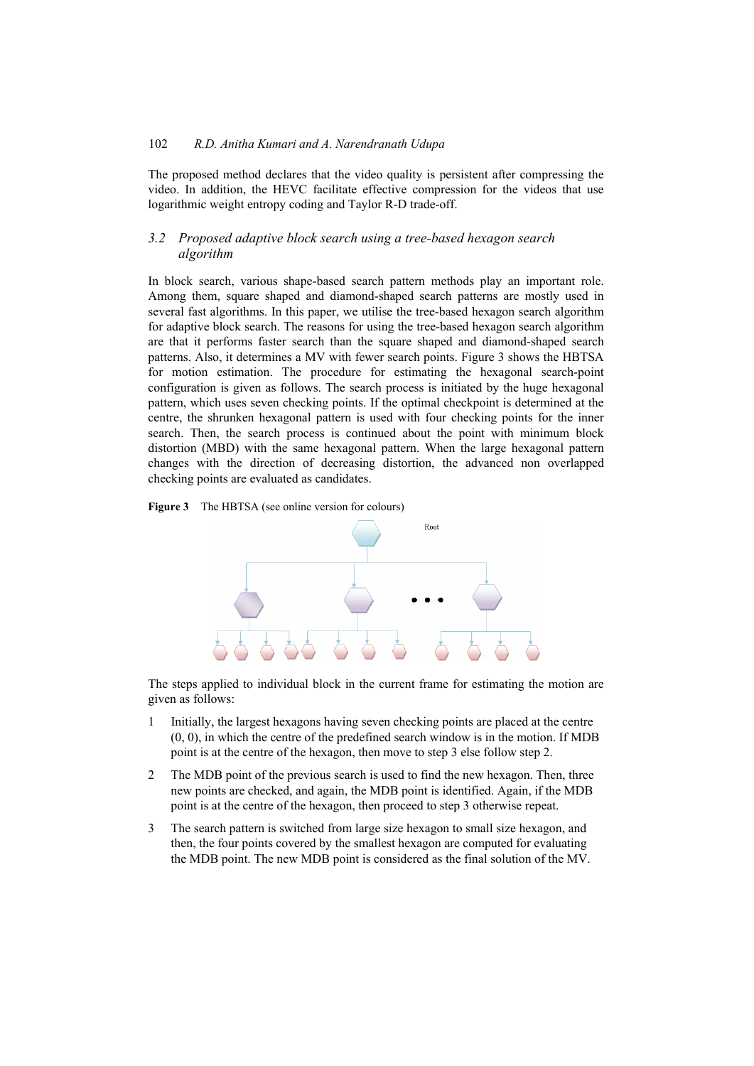The proposed method declares that the video quality is persistent after compressing the video. In addition, the HEVC facilitate effective compression for the videos that use logarithmic weight entropy coding and Taylor R-D trade-off.

## *3.2 Proposed adaptive block search using a tree-based hexagon search algorithm*

In block search, various shape-based search pattern methods play an important role. Among them, square shaped and diamond-shaped search patterns are mostly used in several fast algorithms. In this paper, we utilise the tree-based hexagon search algorithm for adaptive block search. The reasons for using the tree-based hexagon search algorithm are that it performs faster search than the square shaped and diamond-shaped search patterns. Also, it determines a MV with fewer search points. Figure 3 shows the HBTSA for motion estimation. The procedure for estimating the hexagonal search-point configuration is given as follows. The search process is initiated by the huge hexagonal pattern, which uses seven checking points. If the optimal checkpoint is determined at the centre, the shrunken hexagonal pattern is used with four checking points for the inner search. Then, the search process is continued about the point with minimum block distortion (MBD) with the same hexagonal pattern. When the large hexagonal pattern changes with the direction of decreasing distortion, the advanced non overlapped checking points are evaluated as candidates.





The steps applied to individual block in the current frame for estimating the motion are given as follows:

- 1 Initially, the largest hexagons having seven checking points are placed at the centre  $(0, 0)$ , in which the centre of the predefined search window is in the motion. If MDB point is at the centre of the hexagon, then move to step 3 else follow step 2.
- 2 The MDB point of the previous search is used to find the new hexagon. Then, three new points are checked, and again, the MDB point is identified. Again, if the MDB point is at the centre of the hexagon, then proceed to step 3 otherwise repeat.
- 3 The search pattern is switched from large size hexagon to small size hexagon, and then, the four points covered by the smallest hexagon are computed for evaluating the MDB point. The new MDB point is considered as the final solution of the MV.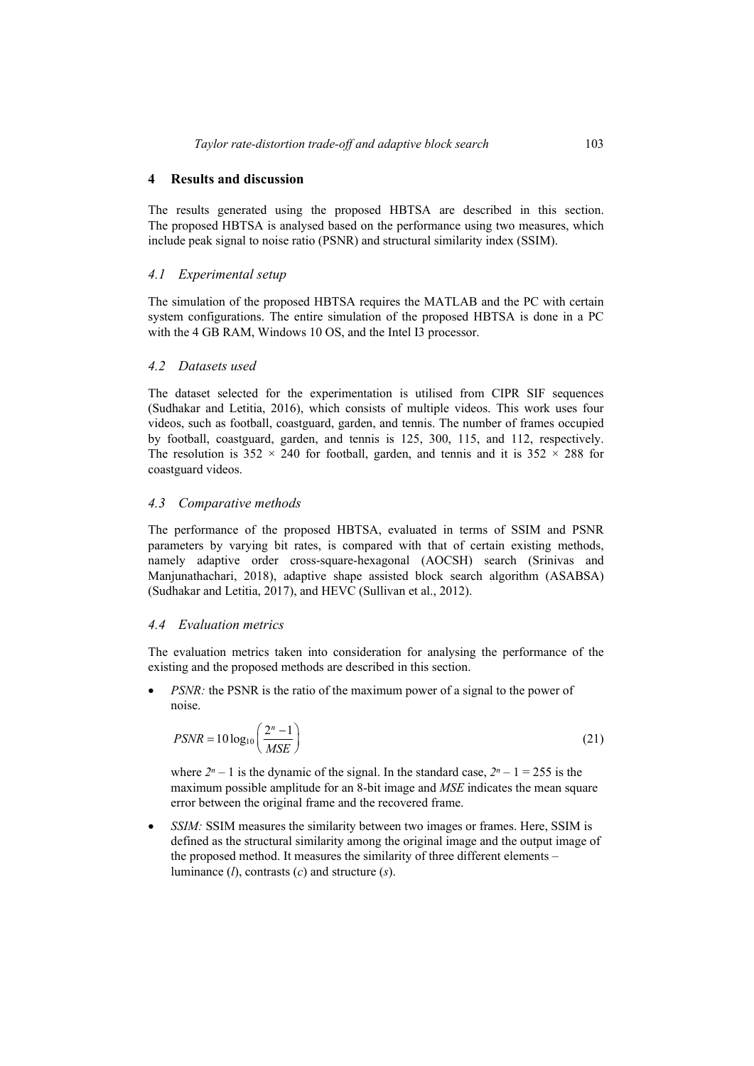### **4 Results and discussion**

The results generated using the proposed HBTSA are described in this section. The proposed HBTSA is analysed based on the performance using two measures, which include peak signal to noise ratio (PSNR) and structural similarity index (SSIM).

# *4.1 Experimental setup*

The simulation of the proposed HBTSA requires the MATLAB and the PC with certain system configurations. The entire simulation of the proposed HBTSA is done in a PC with the 4 GB RAM, Windows 10 OS, and the Intel I3 processor.

# *4.2 Datasets used*

The dataset selected for the experimentation is utilised from CIPR SIF sequences (Sudhakar and Letitia, 2016), which consists of multiple videos. This work uses four videos, such as football, coastguard, garden, and tennis. The number of frames occupied by football, coastguard, garden, and tennis is 125, 300, 115, and 112, respectively. The resolution is  $352 \times 240$  for football, garden, and tennis and it is  $352 \times 288$  for coastguard videos.

## *4.3 Comparative methods*

The performance of the proposed HBTSA, evaluated in terms of SSIM and PSNR parameters by varying bit rates, is compared with that of certain existing methods, namely adaptive order cross-square-hexagonal (AOCSH) search (Srinivas and Manjunathachari, 2018), adaptive shape assisted block search algorithm (ASABSA) (Sudhakar and Letitia, 2017), and HEVC (Sullivan et al., 2012).

## *4.4 Evaluation metrics*

The evaluation metrics taken into consideration for analysing the performance of the existing and the proposed methods are described in this section.

*PSNR:* the PSNR is the ratio of the maximum power of a signal to the power of noise.

$$
PSNR = 10\log_{10}\left(\frac{2^n - 1}{MSE}\right) \tag{21}
$$

where  $2^{n}-1$  is the dynamic of the signal. In the standard case,  $2^{n}-1=255$  is the maximum possible amplitude for an 8-bit image and *MSE* indicates the mean square error between the original frame and the recovered frame.

• *SSIM:* SSIM measures the similarity between two images or frames. Here, SSIM is defined as the structural similarity among the original image and the output image of the proposed method. It measures the similarity of three different elements – luminance (*l*), contrasts (*c*) and structure (*s*).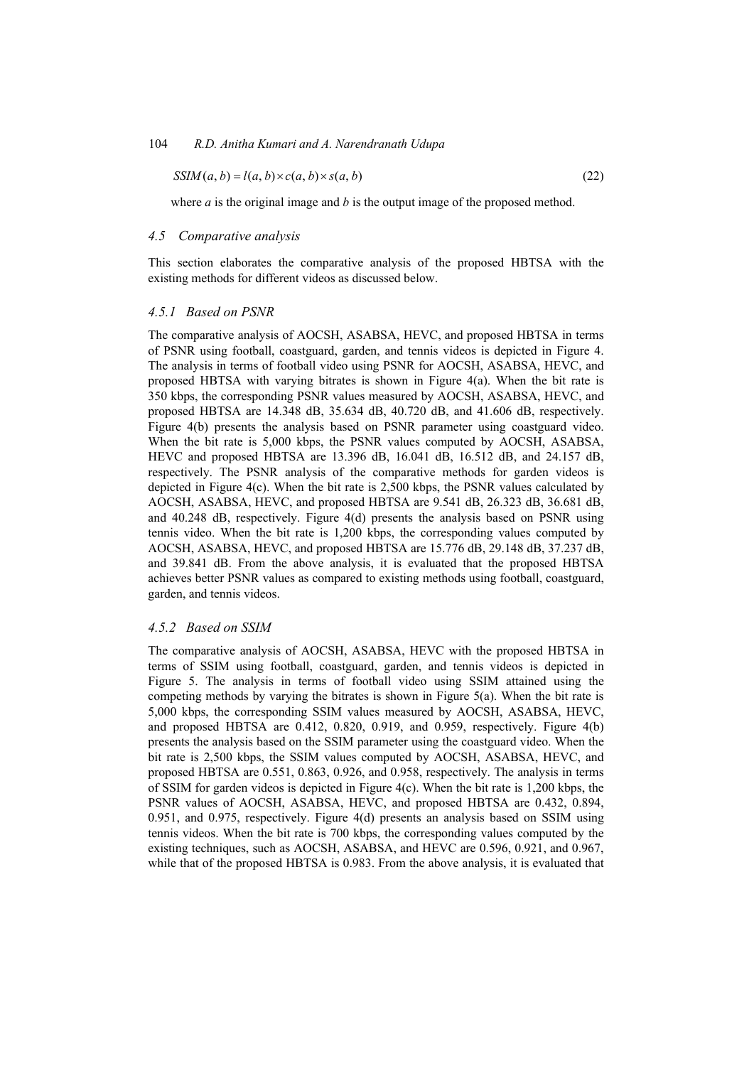$$
SSIM(a, b) = l(a, b) \times c(a, b) \times s(a, b)
$$
\n
$$
(22)
$$

where *a* is the original image and *b* is the output image of the proposed method.

#### *4.5 Comparative analysis*

This section elaborates the comparative analysis of the proposed HBTSA with the existing methods for different videos as discussed below.

#### *4.5.1 Based on PSNR*

The comparative analysis of AOCSH, ASABSA, HEVC, and proposed HBTSA in terms of PSNR using football, coastguard, garden, and tennis videos is depicted in Figure 4. The analysis in terms of football video using PSNR for AOCSH, ASABSA, HEVC, and proposed HBTSA with varying bitrates is shown in Figure  $4(a)$ . When the bit rate is 350 kbps, the corresponding PSNR values measured by AOCSH, ASABSA, HEVC, and proposed HBTSA are 14.348 dB, 35.634 dB, 40.720 dB, and 41.606 dB, respectively. Figure 4(b) presents the analysis based on PSNR parameter using coastguard video. When the bit rate is 5,000 kbps, the PSNR values computed by AOCSH, ASABSA, HEVC and proposed HBTSA are 13.396 dB, 16.041 dB, 16.512 dB, and 24.157 dB, respectively. The PSNR analysis of the comparative methods for garden videos is depicted in Figure  $4(c)$ . When the bit rate is 2,500 kbps, the PSNR values calculated by AOCSH, ASABSA, HEVC, and proposed HBTSA are 9.541 dB, 26.323 dB, 36.681 dB, and 40.248 dB, respectively. Figure 4(d) presents the analysis based on PSNR using tennis video. When the bit rate is 1,200 kbps, the corresponding values computed by AOCSH, ASABSA, HEVC, and proposed HBTSA are 15.776 dB, 29.148 dB, 37.237 dB, and 39.841 dB. From the above analysis, it is evaluated that the proposed HBTSA achieves better PSNR values as compared to existing methods using football, coastguard, garden, and tennis videos.

#### *4.5.2 Based on SSIM*

The comparative analysis of AOCSH, ASABSA, HEVC with the proposed HBTSA in terms of SSIM using football, coastguard, garden, and tennis videos is depicted in Figure 5. The analysis in terms of football video using SSIM attained using the competing methods by varying the bitrates is shown in Figure 5(a). When the bit rate is 5,000 kbps, the corresponding SSIM values measured by AOCSH, ASABSA, HEVC, and proposed HBTSA are 0.412, 0.820, 0.919, and 0.959, respectively. Figure 4(b) presents the analysis based on the SSIM parameter using the coastguard video. When the bit rate is 2,500 kbps, the SSIM values computed by AOCSH, ASABSA, HEVC, and proposed HBTSA are 0.551, 0.863, 0.926, and 0.958, respectively. The analysis in terms of SSIM for garden videos is depicted in Figure 4(c). When the bit rate is 1,200 kbps, the PSNR values of AOCSH, ASABSA, HEVC, and proposed HBTSA are 0.432, 0.894, 0.951, and 0.975, respectively. Figure 4(d) presents an analysis based on SSIM using tennis videos. When the bit rate is 700 kbps, the corresponding values computed by the existing techniques, such as AOCSH, ASABSA, and HEVC are 0.596, 0.921, and 0.967, while that of the proposed HBTSA is 0.983. From the above analysis, it is evaluated that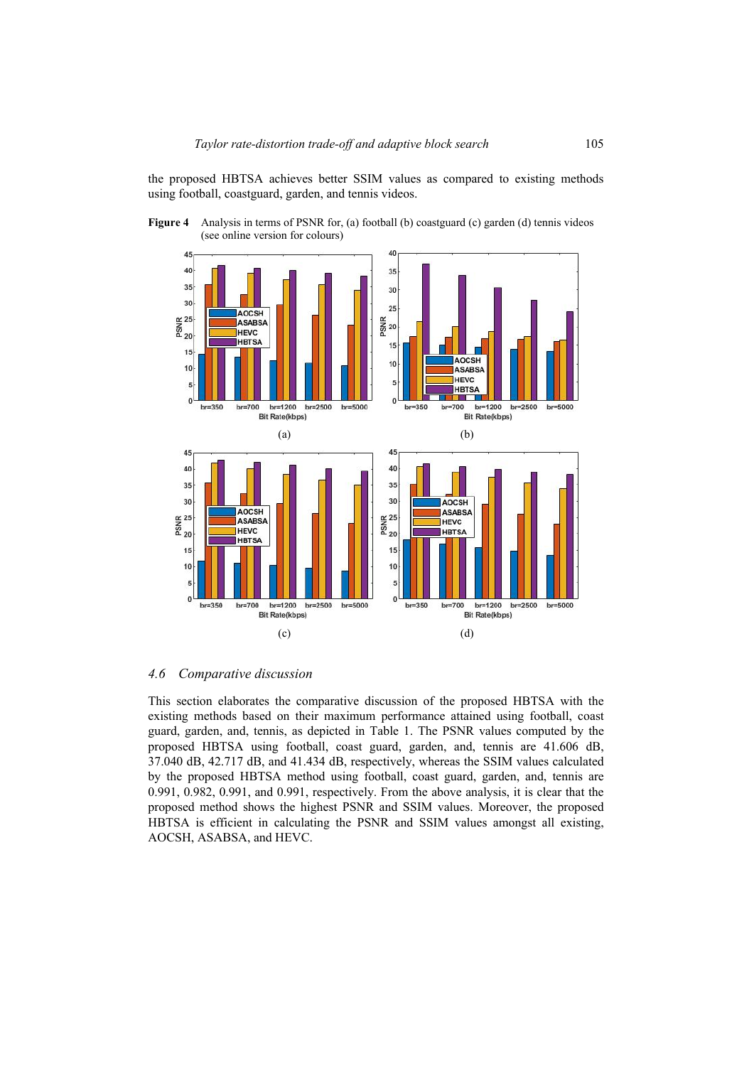the proposed HBTSA achieves better SSIM values as compared to existing methods using football, coastguard, garden, and tennis videos.

**Figure 4** Analysis in terms of PSNR for, (a) football (b) coastguard (c) garden (d) tennis videos (see online version for colours)



#### *4.6 Comparative discussion*

This section elaborates the comparative discussion of the proposed HBTSA with the existing methods based on their maximum performance attained using football, coast guard, garden, and, tennis, as depicted in Table 1. The PSNR values computed by the proposed HBTSA using football, coast guard, garden, and, tennis are 41.606 dB, 37.040 dB, 42.717 dB, and 41.434 dB, respectively, whereas the SSIM values calculated by the proposed HBTSA method using football, coast guard, garden, and, tennis are 0.991, 0.982, 0.991, and 0.991, respectively. From the above analysis, it is clear that the proposed method shows the highest PSNR and SSIM values. Moreover, the proposed HBTSA is efficient in calculating the PSNR and SSIM values amongst all existing, AOCSH, ASABSA, and HEVC.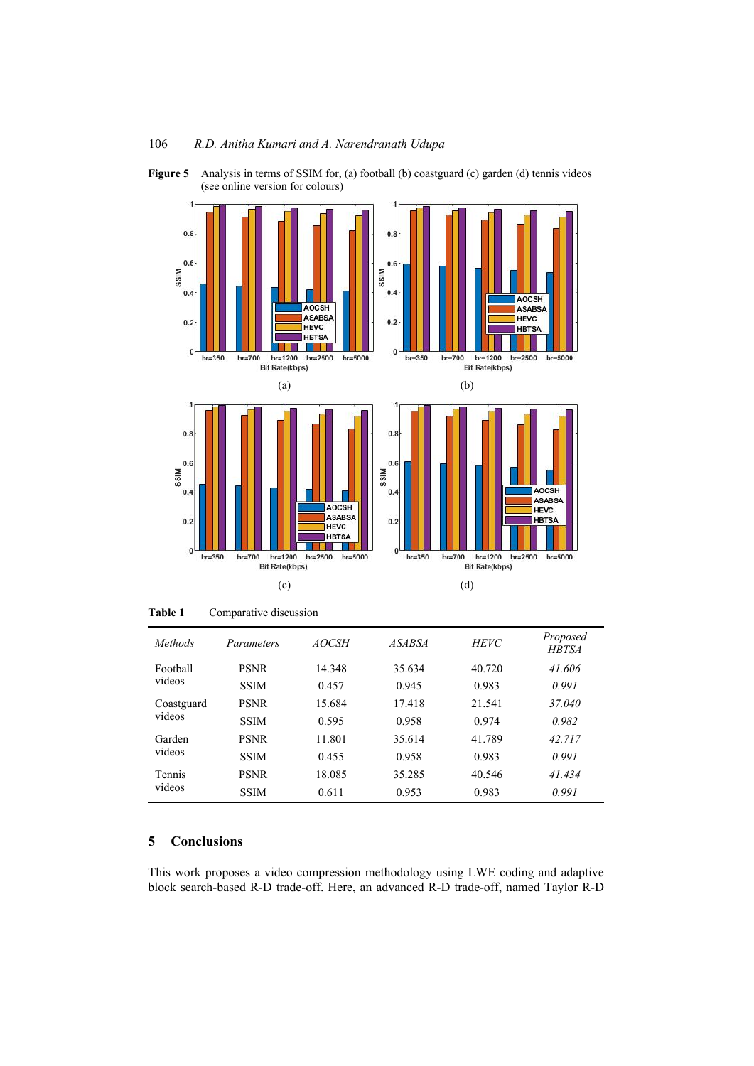



**Table 1** Comparative discussion

| Methods              | Parameters  | <i>AOCSH</i> | <i>ASABSA</i> | <b>HEVC</b> | Proposed<br><b>HBTSA</b> |
|----------------------|-------------|--------------|---------------|-------------|--------------------------|
| Football<br>videos   | <b>PSNR</b> | 14.348       | 35.634        | 40.720      | 41.606                   |
|                      | <b>SSIM</b> | 0.457        | 0.945         | 0.983       | 0.991                    |
| Coastguard<br>videos | <b>PSNR</b> | 15.684       | 17.418        | 21.541      | 37.040                   |
|                      | <b>SSIM</b> | 0.595        | 0.958         | 0.974       | 0.982                    |
| Garden<br>videos     | <b>PSNR</b> | 11.801       | 35.614        | 41.789      | 42.717                   |
|                      | <b>SSIM</b> | 0.455        | 0.958         | 0.983       | 0.991                    |
| Tennis<br>videos     | <b>PSNR</b> | 18.085       | 35.285        | 40.546      | 41.434                   |
|                      | <b>SSIM</b> | 0.611        | 0.953         | 0.983       | 0.991                    |

## **5 Conclusions**

This work proposes a video compression methodology using LWE coding and adaptive block search-based R-D trade-off. Here, an advanced R-D trade-off, named Taylor R-D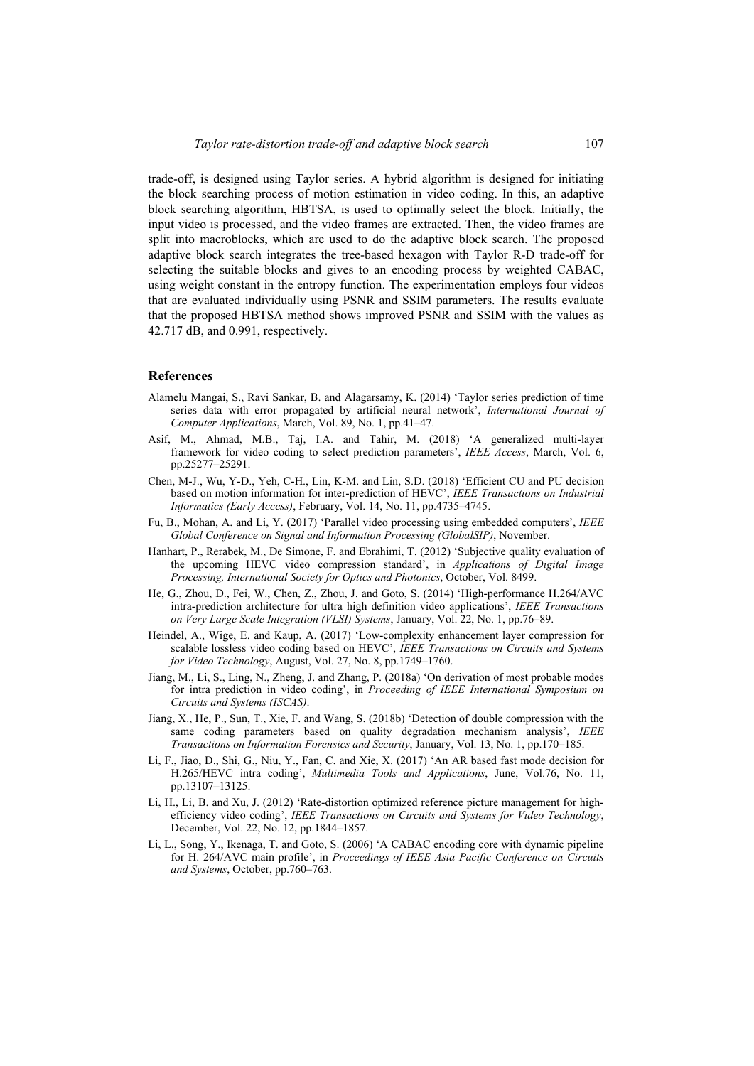trade-off, is designed using Taylor series. A hybrid algorithm is designed for initiating the block searching process of motion estimation in video coding. In this, an adaptive block searching algorithm, HBTSA, is used to optimally select the block. Initially, the input video is processed, and the video frames are extracted. Then, the video frames are split into macroblocks, which are used to do the adaptive block search. The proposed adaptive block search integrates the tree-based hexagon with Taylor R-D trade-off for selecting the suitable blocks and gives to an encoding process by weighted CABAC, using weight constant in the entropy function. The experimentation employs four videos that are evaluated individually using PSNR and SSIM parameters. The results evaluate that the proposed HBTSA method shows improved PSNR and SSIM with the values as 42.717 dB, and 0.991, respectively.

#### **References**

- Alamelu Mangai, S., Ravi Sankar, B. and Alagarsamy, K. (2014) 'Taylor series prediction of time series data with error propagated by artificial neural network', *International Journal of Computer Applications*, March, Vol. 89, No. 1, pp.41–47.
- Asif, M., Ahmad, M.B., Taj, I.A. and Tahir, M. (2018) 'A generalized multi-layer framework for video coding to select prediction parameters', *IEEE Access*, March, Vol. 6, pp.25277–25291.
- Chen, M-J., Wu, Y-D., Yeh, C-H., Lin, K-M. and Lin, S.D. (2018) 'Efficient CU and PU decision based on motion information for inter-prediction of HEVC', *IEEE Transactions on Industrial Informatics (Early Access)*, February, Vol. 14, No. 11, pp.4735–4745.
- Fu, B., Mohan, A. and Li, Y. (2017) 'Parallel video processing using embedded computers', *IEEE Global Conference on Signal and Information Processing (GlobalSIP)*, November.
- Hanhart, P., Rerabek, M., De Simone, F. and Ebrahimi, T. (2012) 'Subjective quality evaluation of the upcoming HEVC video compression standard', in *Applications of Digital Image Processing, International Society for Optics and Photonics*, October, Vol. 8499.
- He, G., Zhou, D., Fei, W., Chen, Z., Zhou, J. and Goto, S. (2014) 'High-performance H.264/AVC intra-prediction architecture for ultra high definition video applications', *IEEE Transactions on Very Large Scale Integration (VLSI) Systems*, January, Vol. 22, No. 1, pp.76–89.
- Heindel, A., Wige, E. and Kaup, A. (2017) 'Low-complexity enhancement layer compression for scalable lossless video coding based on HEVC', *IEEE Transactions on Circuits and Systems for Video Technology*, August, Vol. 27, No. 8, pp.1749–1760.
- Jiang, M., Li, S., Ling, N., Zheng, J. and Zhang, P. (2018a) 'On derivation of most probable modes for intra prediction in video coding', in *Proceeding of IEEE International Symposium on Circuits and Systems (ISCAS)*.
- Jiang, X., He, P., Sun, T., Xie, F. and Wang, S. (2018b) 'Detection of double compression with the same coding parameters based on quality degradation mechanism analysis', *IEEE Transactions on Information Forensics and Security*, January, Vol. 13, No. 1, pp.170–185.
- Li, F., Jiao, D., Shi, G., Niu, Y., Fan, C. and Xie, X. (2017) 'An AR based fast mode decision for H.265/HEVC intra coding', *Multimedia Tools and Applications*, June, Vol.76, No. 11, pp.13107–13125.
- Li, H., Li, B. and Xu, J. (2012) 'Rate-distortion optimized reference picture management for highefficiency video coding', *IEEE Transactions on Circuits and Systems for Video Technology*, December, Vol. 22, No. 12, pp.1844–1857.
- Li, L., Song, Y., Ikenaga, T. and Goto, S. (2006) 'A CABAC encoding core with dynamic pipeline for H. 264/AVC main profile', in *Proceedings of IEEE Asia Pacific Conference on Circuits and Systems*, October, pp.760–763.